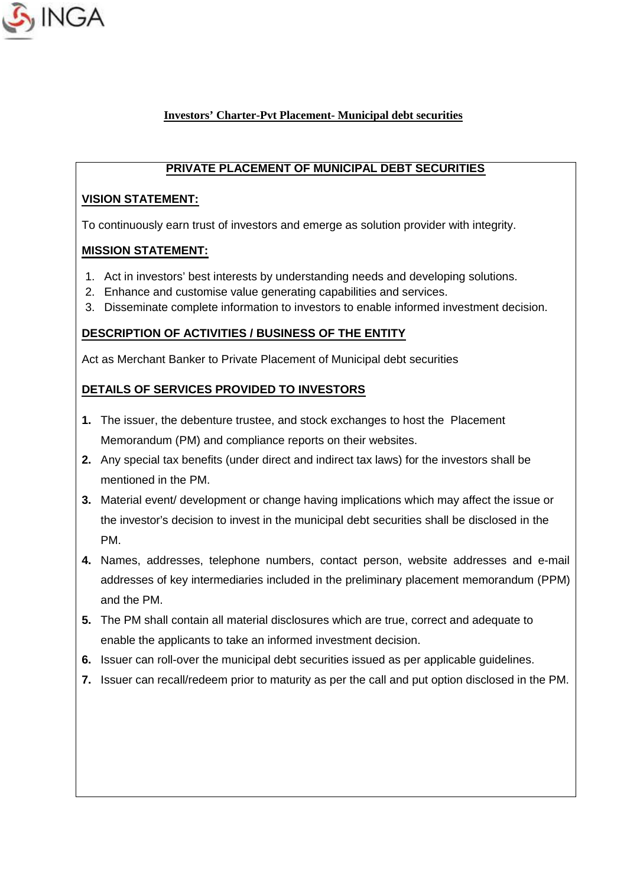

# **PRIVATE PLACEMENT OF MUNICIPAL DEBT SECURITIES**

### **VISION STATEMENT:**

To continuously earn trust of investors and emerge as solution provider with integrity.

### **MISSION STATEMENT:**

- 1. Act in investors' best interests by understanding needs and developing solutions.
- 2. Enhance and customise value generating capabilities and services.
- 3. Disseminate complete information to investors to enable informed investment decision.

### **DESCRIPTION OF ACTIVITIES / BUSINESS OF THE ENTITY**

Act as Merchant Banker to Private Placement of Municipal debt securities

## **DETAILS OF SERVICES PROVIDED TO INVESTORS**

- **1.** The issuer, the debenture trustee, and stock exchanges to host the Placement Memorandum (PM) and compliance reports on their websites.
- **2.** Any special tax benefits (under direct and indirect tax laws) for the investors shall be mentioned in the PM.
- **3.** Material event/ development or change having implications which may affect the issue or the investor's decision to invest in the municipal debt securities shall be disclosed in the PM.
- **4.** Names, addresses, telephone numbers, contact person, website addresses and e-mail addresses of key intermediaries included in the preliminary placement memorandum (PPM) and the PM.
- **5.** The PM shall contain all material disclosures which are true, correct and adequate to enable the applicants to take an informed investment decision.
- **6.** Issuer can roll-over the municipal debt securities issued as per applicable guidelines.
- **7.** Issuer can recall/redeem prior to maturity as per the call and put option disclosed in the PM.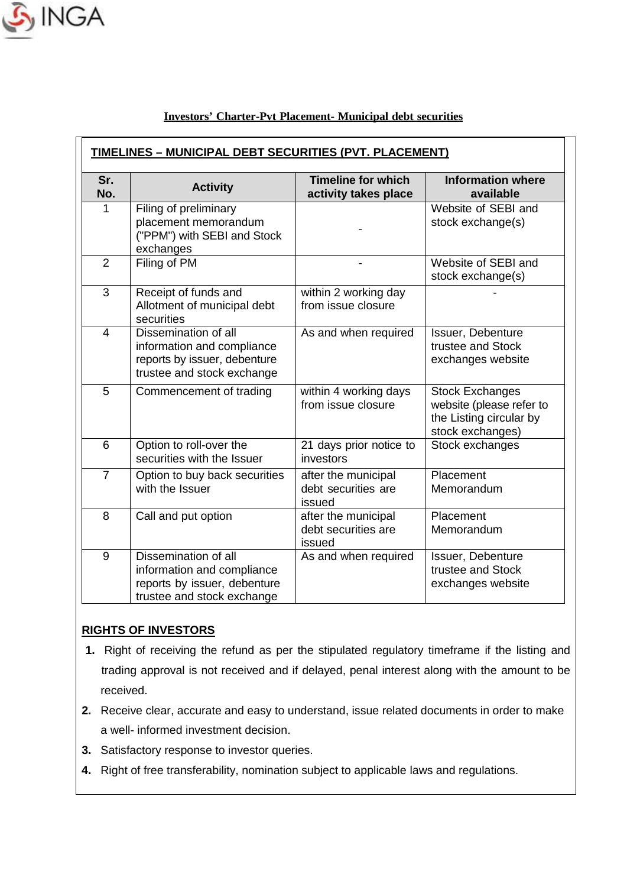

| Sr.<br>No.     | <b>Activity</b>                                                                                                  | <b>Timeline for which</b><br>activity takes place    | <b>Information where</b><br>available                                                             |
|----------------|------------------------------------------------------------------------------------------------------------------|------------------------------------------------------|---------------------------------------------------------------------------------------------------|
| 1              | Filing of preliminary<br>placement memorandum<br>("PPM") with SEBI and Stock<br>exchanges                        |                                                      | Website of SEBI and<br>stock exchange(s)                                                          |
| $\overline{2}$ | Filing of PM                                                                                                     |                                                      | Website of SEBI and<br>stock exchange(s)                                                          |
| 3              | Receipt of funds and<br>Allotment of municipal debt<br>securities                                                | within 2 working day<br>from issue closure           |                                                                                                   |
| $\overline{4}$ | Dissemination of all<br>information and compliance<br>reports by issuer, debenture<br>trustee and stock exchange | As and when required                                 | Issuer, Debenture<br>trustee and Stock<br>exchanges website                                       |
| 5              | Commencement of trading                                                                                          | within 4 working days<br>from issue closure          | <b>Stock Exchanges</b><br>website (please refer to<br>the Listing circular by<br>stock exchanges) |
| 6              | Option to roll-over the<br>securities with the Issuer                                                            | 21 days prior notice to<br>investors                 | Stock exchanges                                                                                   |
| $\overline{7}$ | Option to buy back securities<br>with the Issuer                                                                 | after the municipal<br>debt securities are<br>issued | Placement<br>Memorandum                                                                           |
| 8              | Call and put option                                                                                              | after the municipal<br>debt securities are<br>issued | Placement<br>Memorandum                                                                           |
| 9              | Dissemination of all<br>information and compliance<br>reports by issuer, debenture<br>trustee and stock exchange | As and when required                                 | Issuer, Debenture<br>trustee and Stock<br>exchanges website                                       |

## **RIGHTS OF INVESTORS**

- **1.** Right of receiving the refund as per the stipulated regulatory timeframe if the listing and trading approval is not received and if delayed, penal interest along with the amount to be received.
- **2.** Receive clear, accurate and easy to understand, issue related documents in order to make a well- informed investment decision.
- **3.** Satisfactory response to investor queries.
- **4.** Right of free transferability, nomination subject to applicable laws and regulations.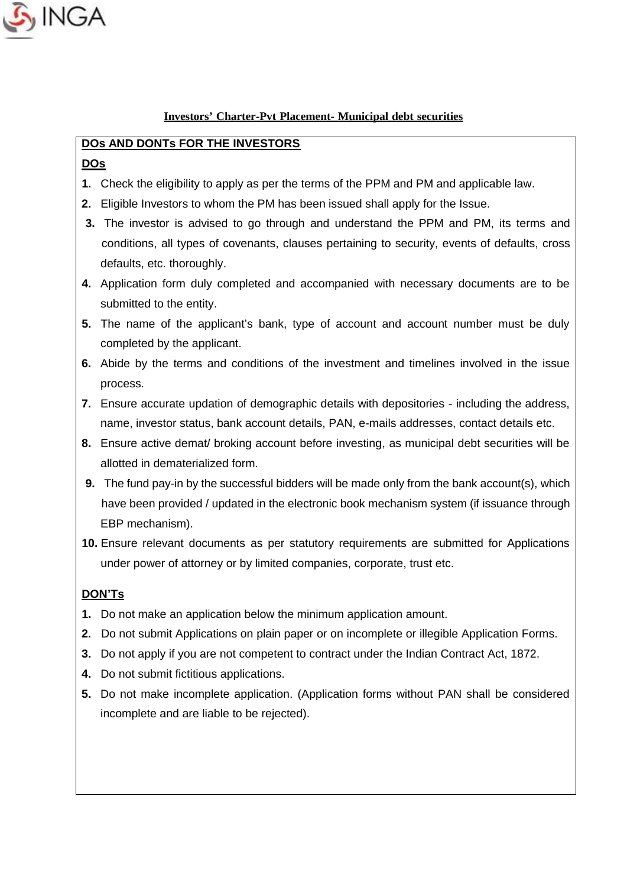

## **DOs AND DONTs FOR THE INVESTORS**

### **DOs**

- **1.** Check the eligibility to apply as per the terms of the PPM and PM and applicable law.
- **2.** Eligible Investors to whom the PM has been issued shall apply for the Issue.
- **3.** The investor is advised to go through and understand the PPM and PM, its terms and conditions, all types of covenants, clauses pertaining to security, events of defaults, cross defaults, etc. thoroughly.
- **4.** Application form duly completed and accompanied with necessary documents are to be submitted to the entity.
- **5.** The name of the applicant's bank, type of account and account number must be duly completed by the applicant.
- **6.** Abide by the terms and conditions of the investment and timelines involved in the issue process.
- **7.** Ensure accurate updation of demographic details with depositories including the address, name, investor status, bank account details, PAN, e-mails addresses, contact details etc.
- **8.** Ensure active demat/ broking account before investing, as municipal debt securities will be allotted in dematerialized form.
- **9.** The fund pay-in by the successful bidders will be made only from the bank account(s), which have been provided / updated in the electronic book mechanism system (if issuance through EBP mechanism).
- **10.** Ensure relevant documents as per statutory requirements are submitted for Applications under power of attorney or by limited companies, corporate, trust etc.

## **DON'Ts**

- **1.** Do not make an application below the minimum application amount.
- **2.** Do not submit Applications on plain paper or on incomplete or illegible Application Forms.
- **3.** Do not apply if you are not competent to contract under the Indian Contract Act, 1872.
- **4.** Do not submit fictitious applications.
- **5.** Do not make incomplete application. (Application forms without PAN shall be considered incomplete and are liable to be rejected).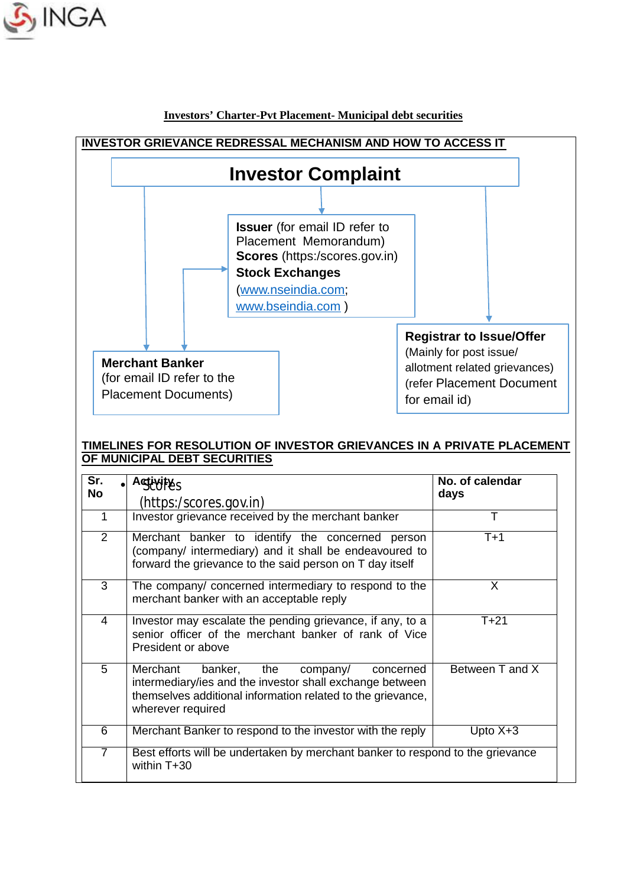